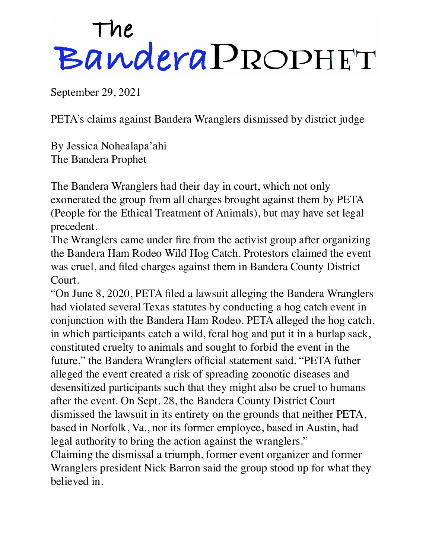## The<br>Bandera PROPHET

September 29, 2021

PETA's claims against Bandera Wranglers dismissed by district judge

By Jessica Nohealapa'ahi The Bandera Prophet

The Bandera Wranglers had their day in court, which not only exonerated the group from all charges brought against them by PETA (People for the Ethical Treatment of Animals), but may have set legal precedent.

The Wranglers came under fire from the activist group after organizing the Bandera Ham Rodeo Wild Hog Catch. Protestors claimed the event was cruel, and filed charges against them in Bandera County District Court.

"On June 8, 2020, PETA filed a lawsuit alleging the Bandera Wranglers had violated several Texas statutes by conducting a hog catch event in conjunction with the Bandera Ham Rodeo. PETA alleged the hog catch, in which participants catch a wild, feral hog and put it in a burlap sack, constituted cruelty to animals and sought to forbid the event in the future," the Bandera Wranglers official statement said. "PETA futher alleged the event created a risk of spreading zoonotic diseases and desensitized participants such that they might also be cruel to humans after the event. On Sept. 28, the Bandera County District Court dismissed the lawsuit in its entirety on the grounds that neither PETA, based in Norfolk, Va., nor its former employee, based in Austin, had legal authority to bring the action against the wranglers."

Claiming the dismissal a triumph, former event organizer and former Wranglers president Nick Barron said the group stood up for what they believed in.